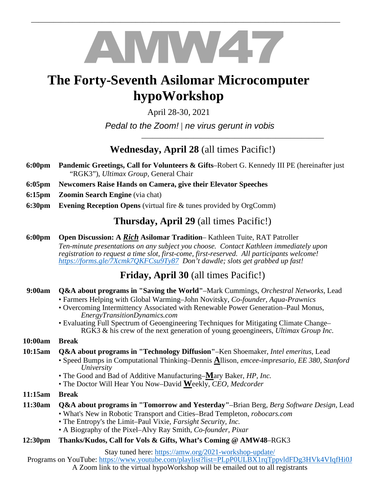# AMW47

\_\_\_\_\_\_\_\_\_\_\_\_\_\_\_\_\_\_\_\_\_\_\_\_\_\_\_\_\_\_\_\_\_\_\_\_\_\_\_\_\_\_\_\_\_\_\_\_\_\_\_\_\_\_\_\_\_\_\_\_\_\_\_\_\_\_\_\_\_\_\_\_\_\_\_\_\_\_\_\_\_\_\_

# **The Forty-Seventh Asilomar Microcomputer hypoWorkshop**

April 28-30, 2021

*Pedal to the Zoom!* | *ne virus gerunt in vobis* 

**Wednesday, April 28** (all times Pacific!)

\_\_\_\_\_\_\_\_\_\_\_\_\_\_\_\_\_\_\_\_\_\_\_\_\_\_\_\_\_\_\_\_\_\_\_\_\_\_\_\_\_\_\_\_\_\_\_\_\_

- **6:00pm Pandemic Greetings, Call for Volunteers & Gifts**–Robert G. Kennedy III PE (hereinafter just "RGK3"), *Ultimax Group,* General Chair
- **6:05pm Newcomers Raise Hands on Camera, give their Elevator Speeches**
- **6:15pm** Zoomin Search Engine (via chat)
- **6:30pm Evening Reception Opens** (virtual fire & tunes provided by OrgComm)

## **Thursday, April 29** (all times Pacific!)

 **6:00pm Open Discussion: A** *Rich* **Asilomar Tradition**– Kathleen Tuite, RAT Patroller *Ten-minute presentations on any subject you choose. Contact Kathleen immediately upon registration to request a time slot, first-come, first-reserved. All participants welcome! https://forms.gle/7Xcmk7QKFCsu9Ty87 Don't dawdle; slots get grabbed up fast!* 

# **Friday, April 30** (all times Pacific!)

- **9:00am Q&A about programs in "Saving the World"**–Mark Cummings, *Orchestral Networks,* Lead
	- Farmers Helping with Global Warming–John Novitsky, *Co-founder, Aqua-Prawnics*
	- Overcoming Intermittency Associated with Renewable Power Generation–Paul Monus, *EnergyTransitionDynamics.com*
	- Evaluating Full Spectrum of Geoengineering Techniques for Mitigating Climate Change– RGK3 & his crew of the next generation of young geoengineers, *Ultimax Group Inc.*

### **10:00am Break**

- **10:15am Q&A about programs in "Technology Diffusion"**–Ken Shoemaker*, Intel emeritus*, Lead
	- Speed Bumps in Computational Thinking–Dennis **A**llison, *emcee-impresario, EE 380, Stanford University*
		- The Good and Bad of Additive Manufacturing–**M**ary Baker, *HP, Inc.*
		- The Doctor Will Hear You Now–David **W**eekly, *CEO, Medcorder*
- **11:15am Break**
- **11:30am Q&A about programs in "Tomorrow and Yesterday"**–Brian Berg*, Berg Software Design*, Lead • What's New in Robotic Transport and Cities–Brad Templeton, *robocars.com*
	- The Entropy's the Limit–Paul Vixie, *Farsight Security, Inc.*
	- A Biography of the Pixel–Alvy Ray Smith, *Co-founder, Pixar*
- **12:30pm Thanks/Kudos, Call for Vols & Gifts, What's Coming @ AMW48**–RGK3

Stay tuned here: https://amw.org/2021-workshop-update/

Programs on YouTube: https://www.youtube.com/playlist?list=PLpP0ULBX1rqTppvldFDg3HVk4VIqfHi0J A Zoom link to the virtual hypoWorkshop will be emailed out to all registrants